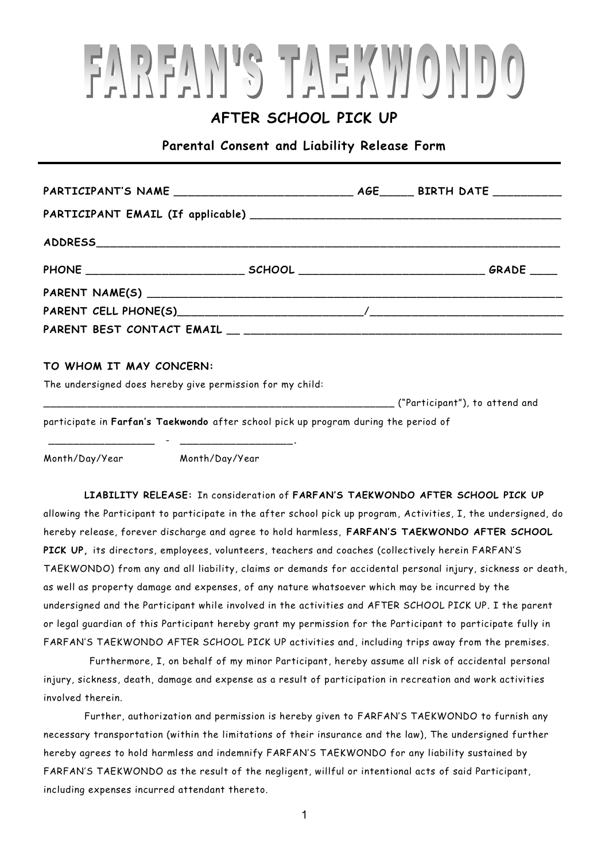## FAREAN'S TAEKWONDO

### **AFTER SCHOOL PICK UP**

**Parental Consent and Liability Release Form**

#### **TO WHOM IT MAY CONCERN:**

The undersigned does hereby give permission for my child:

\_\_\_\_\_\_\_\_\_\_\_\_\_\_\_\_\_ - \_\_\_\_\_\_\_\_\_\_\_\_\_\_\_\_\_\_**.**

\_\_\_\_\_\_\_\_\_\_\_\_\_\_\_\_\_\_\_\_\_\_\_\_\_\_\_\_\_\_\_\_\_\_\_\_\_\_\_\_\_\_\_\_\_\_\_\_\_\_\_\_\_\_\_\_ ("Participant"), to attend and participate in **Farfan's Taekwondo** after school pick up program during the period of

Month/Day/Year Month/Day/Year

**LIABILITY RELEASE:** In consideration of **FARFAN'S TAEKWONDO AFTER SCHOOL PICK UP**  allowing the Participant to participate in the after school pick up program, Activities, I, the undersigned, do hereby release, forever discharge and agree to hold harmless, **FARFAN'S TAEKWONDO AFTER SCHOOL PICK UP,** its directors, employees, volunteers, teachers and coaches (collectively herein FARFAN'S TAEKWONDO) from any and all liability, claims or demands for accidental personal injury, sickness or death, as well as property damage and expenses, of any nature whatsoever which may be incurred by the undersigned and the Participant while involved in the activities and AFTER SCHOOL PICK UP. I the parent or legal guardian of this Participant hereby grant my permission for the Participant to participate fully in FARFAN'S TAEKWONDO AFTER SCHOOL PICK UP activities and, including trips away from the premises.

Furthermore, I, on behalf of my minor Participant, hereby assume all risk of accidental personal injury, sickness, death, damage and expense as a result of participation in recreation and work activities involved therein.

Further, authorization and permission is hereby given to FARFAN'S TAEKWONDO to furnish any necessary transportation (within the limitations of their insurance and the law), The undersigned further hereby agrees to hold harmless and indemnify FARFAN'S TAEKWONDO for any liability sustained by FARFAN'S TAEKWONDO as the result of the negligent, willful or intentional acts of said Participant, including expenses incurred attendant thereto.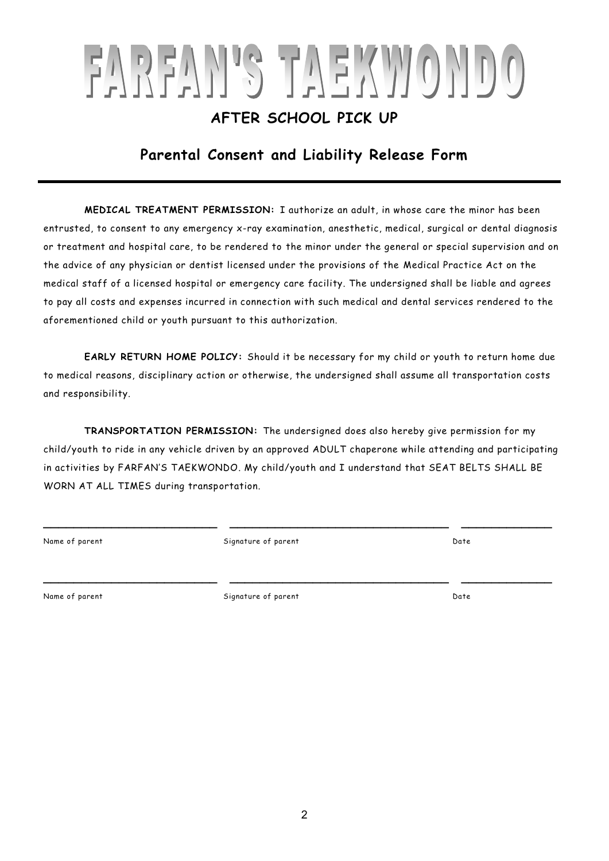# FAREAN'S TAEKWONDO

### **AFTER SCHOOL PICK UP**

### **Parental Consent and Liability Release Form**

**MEDICAL TREATMENT PERMISSION:** I authorize an adult, in whose care the minor has been entrusted, to consent to any emergency x-ray examination, anesthetic, medical, surgical or dental diagnosis or treatment and hospital care, to be rendered to the minor under the general or special supervision and on the advice of any physician or dentist licensed under the provisions of the Medical Practice Act on the medical staff of a licensed hospital or emergency care facility. The undersigned shall be liable and agrees to pay all costs and expenses incurred in connection with such medical and dental services rendered to the aforementioned child or youth pursuant to this authorization.

**EARLY RETURN HOME POLICY:** Should it be necessary for my child or youth to return home due to medical reasons, disciplinary action or otherwise, the undersigned shall assume all transportation costs and responsibility.

**TRANSPORTATION PERMISSION:** The undersigned does also hereby give permission for my child/youth to ride in any vehicle driven by an approved ADULT chaperone while attending and participating in activities by FARFAN'S TAEKWONDO. My child/youth and I understand that SEAT BELTS SHALL BE WORN AT ALL TIMES during transportation.

**\_\_\_\_\_\_\_\_\_\_\_\_\_\_\_\_\_\_\_\_\_\_\_ \_\_\_\_\_\_\_\_\_\_\_\_\_\_\_\_\_\_\_\_\_\_\_\_\_\_\_\_\_ \_\_\_\_\_\_\_\_\_\_\_\_**

**\_\_\_\_\_\_\_\_\_\_\_\_\_\_\_\_\_\_\_\_\_\_\_ \_\_\_\_\_\_\_\_\_\_\_\_\_\_\_\_\_\_\_\_\_\_\_\_\_\_\_\_\_ \_\_\_\_\_\_\_\_\_\_\_\_**

Name of parent Signature of parent Date

Name of parent Signature of parent Date